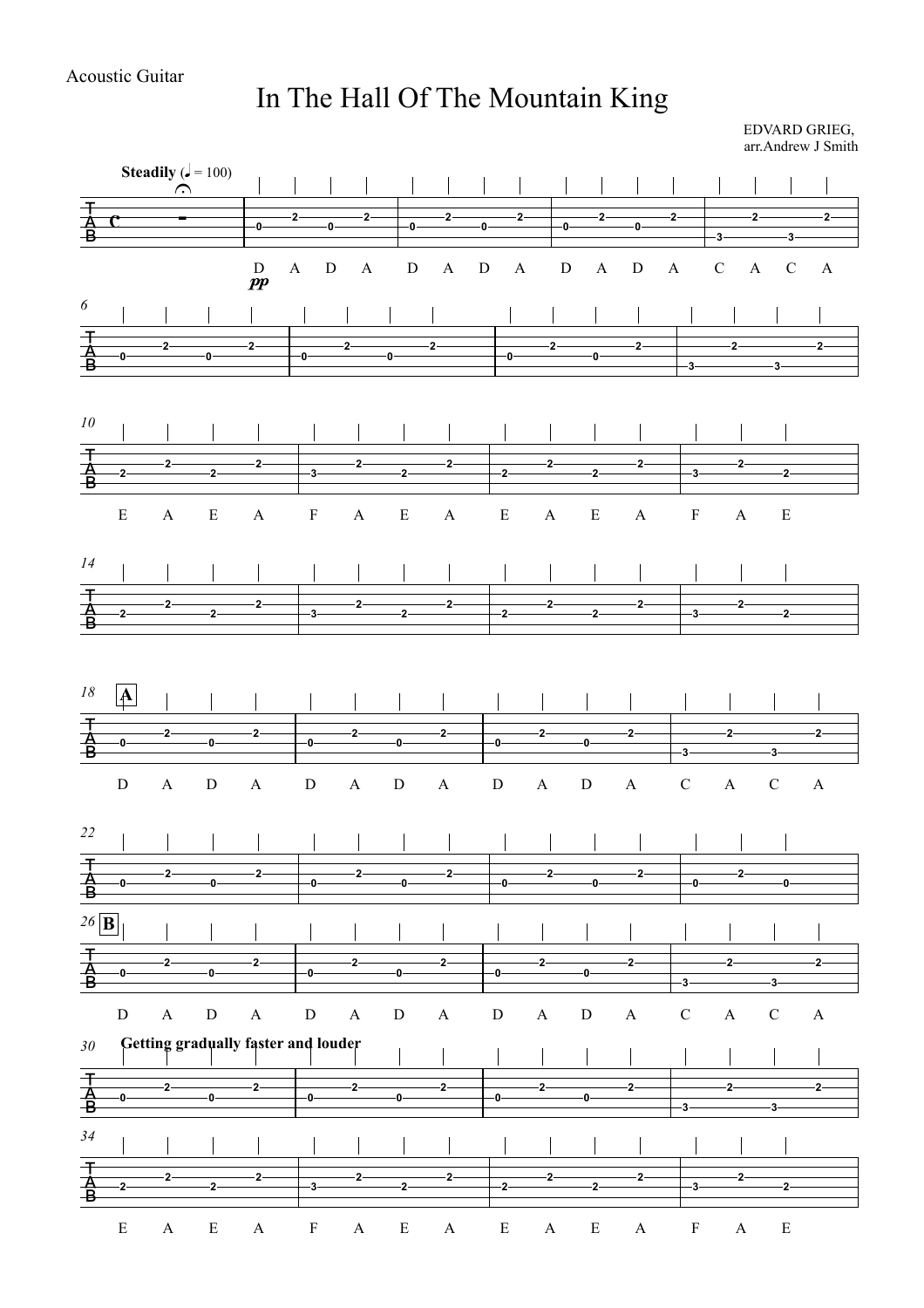## In The Hall Of The Mountain King

EDVARD GRIEG, arr.Andrew J Smith